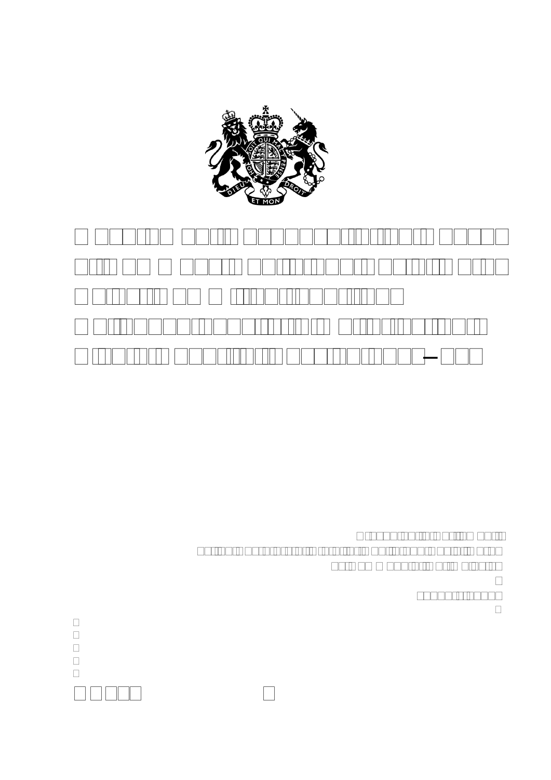

# Government Response to the House of Commons Health and Social Care Select Committee report on Childhood obesity: Time for action, Eighth Report of Session 2017–19

Presented to Parliament by the Secretary of State for Health and Social Care by Command of Her Majesty

January 2019

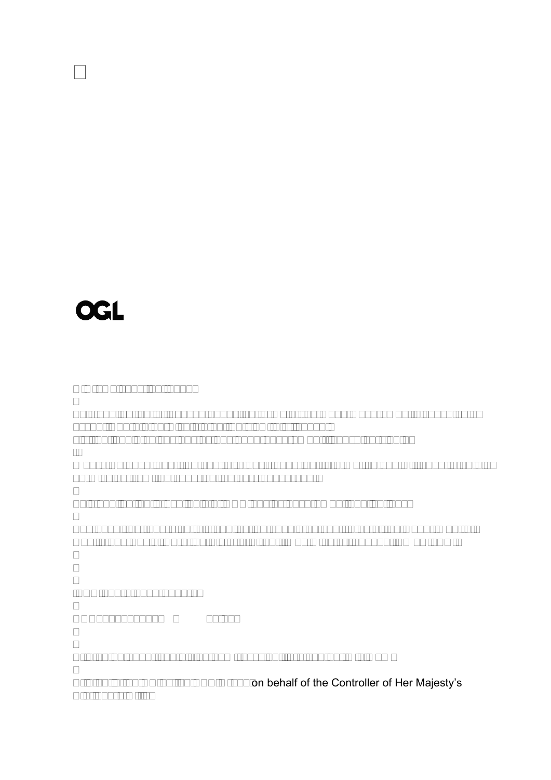

© Crown copyright 2019

This publication is licensed under the terms of the Open Government Licence v3.0 except where otherwise stated. To view this licence, visit [nationalarchives.gov.uk/doc/open-government-licence/version/3](http://www.nationalarchives.gov.uk/doc/open-government-licence/version/3)

Where we have identified any third party copyright information you will need to obtain permission from the copyright holders concerned.

This publication is available at [www.gov.uk/government/publications](http://www.gov.uk/government/publications)

Any enquiries regarding this publication should be sent to us at the Department of Health and Social Care, 39 Victoria Street, Westminster, London, SW1H 0EU.

ISBN 978-1-5286-0682-0

CCS0718017188 01/19

Printed on paper containing 75% recycled fibre content minimum

Printed in the UK by the APS Group on behalf of the Controller of Her Majesty's Stationery Office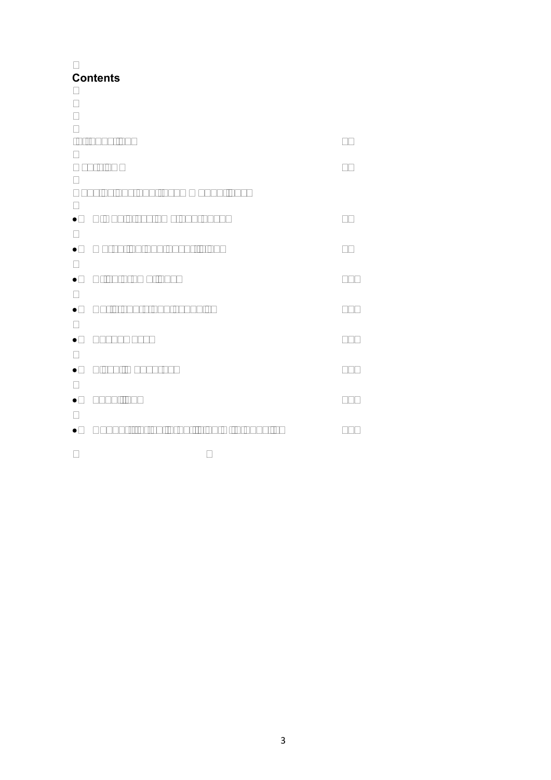# **Contents**

| Introduction                    |                                          | 4  |
|---------------------------------|------------------------------------------|----|
| Overview                        |                                          | 4  |
| Conclusions and recommendations |                                          |    |
| $\bullet$                       | A whole systems approach                 | 6  |
| $\bullet$                       | Marketing and advertising                | 9  |
| $\bullet$                       | Price promotions                         | 11 |
| $\bullet$                       | Early years and schools                  | 12 |
| $\bullet$                       | Takeaways                                | 16 |
| $\bullet$                       | <b>Fiscal measures</b>                   | 17 |
| $\bullet$                       | Labelling                                | 20 |
|                                 | Support for children living with obesity | 22 |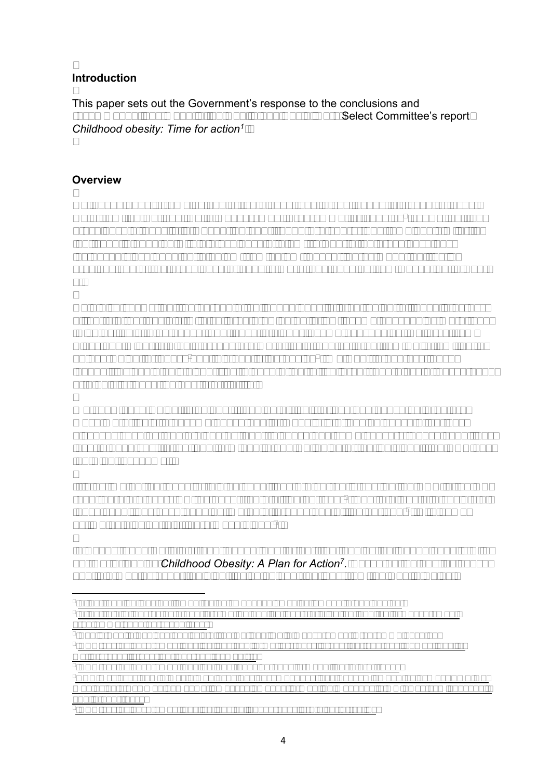#### **Introduction**

This paper sets out the Government's response to the conclusions and recommendations made in the Health and Social Care Select Committee's report *Childhood obesity: Time for action<sup>1</sup>* .

#### **Overview**

Childhood obesity remains one of the biggest health challenges this country faces. Data from the National Child Measurement Programme for 2017/18<sup>2</sup> shows that the prevalence of obesity in Reception year (aged 4-5 years) has remained similar to that seen in 2016/17 with a prevalence of 9.5%. In Year 6 the prevalence has increased since 2016/17 to 20.1% from 20.0%. These figures mean that, as in previous years, the prevalence of obesity more than doubles from Reception to Year 6.

Data also shows that the burden of childhood obesity is not being felt equally across all parts of our society, with children growing up in low income households more than twice as likely to be obese than those in higher income households. Children from Black and Minority Ethnic groups are more likely than children from white families to be overweight or obese and this gap is increasing<sup>3</sup>. We want to address these inequalities and ethnic disparities to ensure that all children, regardless of background or ethnicity, have the best start in life.

We know once weight is gained, it can be difficult to lose and obese children are much more likely to become obese adults. Obesity is a leading cause of serious diseases such as type 2 diabetes, heart disease and some cancers. These conditions incur a huge cost to the long term health and wellbeing of the individual, the NHS and the wider economy.

It is estimated that obesity-related conditions are currently costing the NHS in the UK (and therefore every UK tax payer) £6.1 billion per year<sup>4</sup>. The total costs to society of these conditions have been estimated at around £27 billion per year<sup>5</sup>, with some estimates placing this figure much higher<sup>6</sup>.

In August 2016 we laid strong foundations for our fight against childhood obesity with our world-leading *Childhood Obesity: A Plan for Action<sup>7</sup> .* Based on the best evidence and informed by expert opinion, including contributions from the Health Select

<sup>4</sup> [www.gov.uk/government/publications/health-matters-obesity-and-the-food-environment/health](http://www.gov.uk/government/publications/health-matters-obesity-and-the-food-environment/health-matters-obesity-and-the-food-environment--2)[matters-obesity-and-the-food-environment--2](http://www.gov.uk/government/publications/health-matters-obesity-and-the-food-environment/health-matters-obesity-and-the-food-environment--2)

 $\ddot{\phantom{a}}$ <sup>1</sup> <https://publications.parliament.uk/pa/cm201719/cmselect/cmhealth/882/882.pdf>

<sup>2</sup> [https://digital.nhs.uk/data-and-information/publications/statistical/national-child-measurement](https://digital.nhs.uk/data-and-information/publications/statistical/national-child-measurement-programme/2017-18-school-year)[programme/2017-18-school-year](https://digital.nhs.uk/data-and-information/publications/statistical/national-child-measurement-programme/2017-18-school-year)

<sup>3</sup> Public Health England analysis of the National Child Measurement Programme 2015/16

 $\frac{5}{3}$  [www.gov.uk/government/publications/reducing-obesity-modelling-future-trends](http://www.gov.uk/government/publications/reducing-obesity-modelling-future-trends)

<sup>6</sup>[www.mckinsey.com/~/media/McKinsey/Business%20Functions/Economic%20Studies%20TEMP/Our](http://www.mckinsey.com/~/media/McKinsey/Business%20Functions/Economic%20Studies%20TEMP/Our%20Insights/How%20the%20world%20could%20better%20fight%20obesity/MGI_Overcoming_obesity_Full_report.ashx) [%20Insights/How%20the%20world%20could%20better%20fight%20obesity/MGI\\_Overcoming\\_obesity](http://www.mckinsey.com/~/media/McKinsey/Business%20Functions/Economic%20Studies%20TEMP/Our%20Insights/How%20the%20world%20could%20better%20fight%20obesity/MGI_Overcoming_obesity_Full_report.ashx) Full\_report.ashx

<sup>7</sup> [www.gov.uk/government/publications/childhood-obesity-a-plan-for-action](http://www.gov.uk/government/publications/childhood-obesity-a-plan-for-action)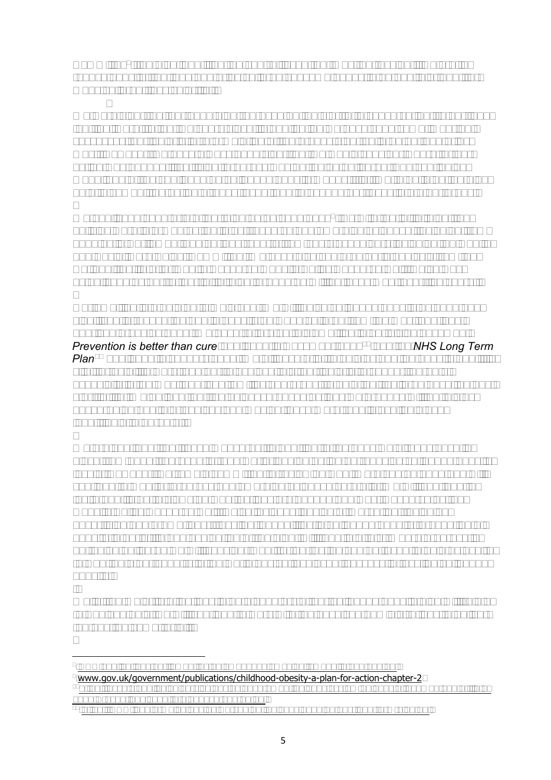Committee $<sup>8</sup>$ , the plan identified the central issue that must be tackled if we are to</sup> reduce obesity: the food and drink children consume needs to be healthier and, for many children, less calorific.

We were clear that our 2016 plan represented the start of a conversation, rather than the final word. In the two years since its publication we have seen some important successes, particularly in reformulation of the products our children eat and drink most. However, we have always been clear that we would consider where further action was needed if sufficient progress was not being delivered. The continuing magnitude of the challenge on childhood obesity means it is time to build on the plan both to cement the action already taken, and to expand our focus into other areas.

We published chapter 2 of our plan on 25 June 2018<sup>9</sup>. As with the initial plan, the policies were informed by the latest research and emerging evidence, including from debates in Parliament and various reports from key stakeholders including the Health and Social Care Select Committee. We have also captured early analysis from the National Institute for Health Research Obesity Policy Research Unit, which was established as part of our initial plan through £5 million investment over five years.

Our ambition is a bold but simple one. We will halve childhood obesity by 2030 and significantly reduce the gap in obesity between children from the most and least deprived areas by 2030. We have reiterated this ambition in our vision document *Prevention is better than cure* published in November 2018<sup>10</sup> and the NHS Long Term *Plan*<sup>11</sup> published in January 2019. We all have a lot to gain by beating obesity and it is vital for us all to work together to achieve this, particularly to support parents, especially in the most deprived families and areas, to help their children have the best start in life. We believe that the evidence-based actions we propose will do this by encouraging healthier choices and making these more readily available and identifiable to parents.

We are confident that these measures, in addition to the ones we already have in place from 2016, represent strong world-leading action on reducing childhood obesity levels. However, we remain committed to reviewing what more can be done and will continue to monitor progress and emerging evidence carefully. We will continue to invite and listen to views on what actions are needed and why. Research by the Obesity Policy Research Unit, which includes looking at marketing (including advertising and promotions), tackling inequalities in childhood obesity, prevention of obesity in early life and evaluation of the plan, will feed into this. Where progress is not being delivered we will consider what further action can be taken to help us aspire to what no other country in the world has yet achieved: success in tackling childhood obesity.

Whilst the majority of actions in both chapters of our childhood obesity plan will relate to England only, we will continue to work with the devolved administrations to deliver the best outcome for all.

 $\overline{a}$ 

<sup>8</sup> [www.publications.parliament.uk/pa/cm201516/cmselect/cmhealth/465/465.pdf](http://www.publications.parliament.uk/pa/cm201516/cmselect/cmhealth/465/465.pdf)

<sup>9</sup> [www.gov.uk/government/publications/childhood-obesity-a-plan-for-action-chapter-2](http://www.gov.uk/government/publications/childhood-obesity-a-plan-for-action-chapter-2)

<sup>10</sup>[https://assets.publishing.service.gov.uk/government/uploads/system/uploads/attachment\\_data/file/75](https://assets.publishing.service.gov.uk/government/uploads/system/uploads/attachment_data/file/753688/Prevention_is_better_than_cure_5-11.pdf) [3688/Prevention\\_is\\_better\\_than\\_cure\\_5-11.pdf](https://assets.publishing.service.gov.uk/government/uploads/system/uploads/attachment_data/file/753688/Prevention_is_better_than_cure_5-11.pdf)

<sup>11</sup> <https://www.longtermplan.nhs.uk/wp-content/uploads/2019/01/nhs-long-term-plan.pdf>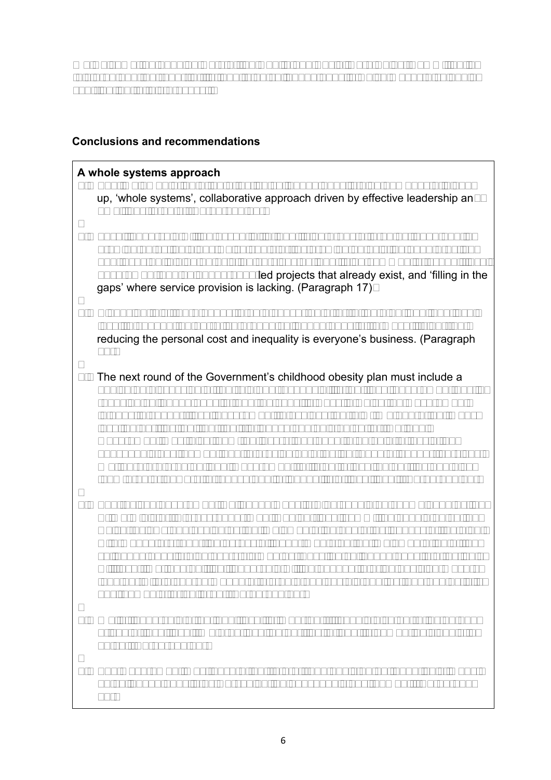We welcome the ongoing work of the Health and Social Care Select Committee in this area and the report of its Inquiry on childhood obesity which makes a valuable contribution to this process.

# **Conclusions and recommendations**

#### **A whole systems approach**

- 1. The implementation of an effective childhood obesity plan demands a joinedup, 'whole systems', collaborative approach driven by effective leadership and ambitious targets. (Paragraph 16)
- 2. Local leadership will be essential in identifying areas of greatest need and in drawing up action plans which can start by drawing on existing good practice and focus on joining up existing services by identifying community, school, local government and neighbourhood-led projects that already exist, and 'filling in the gaps' where service provision is lacking. (Paragraph 17)
- 3. Alongside this, there needs to be a concerted effort at both national and local level to change the narrative around childhood obesity, to make it clear that reducing the personal cost and inequality is everyone's business. (Paragraph 18)
- 4. The next round of the Government's childhood obesity plan must include a dedicated discussion of the role and responsibility that local government has in reducing childhood obesity, and the specific ways in which the Government intends to support local government to achieve that aim. We heard that many local authorities feel that their influence can only go so far. National Government must give them the levers they need to be able to tackle the obesogenic environment and to provide an effective range of support services. We therefore urge national Government to listen to local authorities and give them greater powers to reduce health inequality at local level. (Paragraph 21)
- 5. The revised government Childhood Obesity Plan should be championed by the Prime Minister. A cross-department Cabinet-level committee should be set up which reviews and evaluates the implementation and effectiveness of the plan, with mandatory reporting across all departments on the implementation of the childhood obesity plan every six months. Tackling childhood obesity effectively will take time, and political leadership will be needed to bring decision-makers together with a shared mandate to create and sustain healthy food and activity environments for children. (Paragraph 25)
- 6. Whilst leadership at national level is important, it should also be reflected and driven at local level. We urge local authorities to identify named individuals to do so. (Paragraph 26)
- 7. The Government must ensure that future trade deals do not negatively impact on childhood obesity by worsening the obesogenic environment. (Paragraph 27)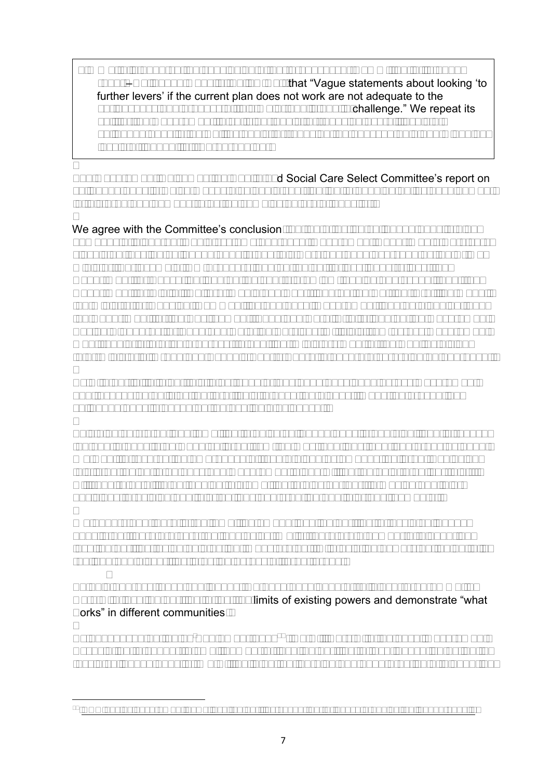8. We fully endorse the conclusion of our predecessor Committee in its 2017 report–Childhood Obesity: Follow Up - that "Vague statements about looking 'to further levers' if the current plan does not work are not adequate to the seriousness and urgency of this major public health challenge." We repeat its call for the Government to set clear goals for reducing overall levels of childhood obesity, as well as goals for reducing the unacceptable and widening levels of inequality. (Paragraph 30)

The Government welcomes the Health and Social Care Select Committee's report on childhood obesity which makes a valuable contribution to ongoing policy development in this area and demonstrates the complex nature of obesity.

We agree with the Committee's conclusion that an effective childhood obesity plan demands a joined-up, whole systems approach. Government Departments work very closely on tackling childhood obesity and this work has been overseen by the Prime Minister. For example, HM Treasury lead on the soft drinks industry levy, the Department for Education lead on the sports premium funding and school food, the Department for Digital, Culture, Media and Sport lead on the Nutrient Profiling Model, the Ministry for Housing, Communities and Local Government lead on planning, and the Department for the Environment, Food and Rural Affairs lead on the Government Buying Standards for Food and Catering Services. Officials from across Government meet regularly to drive progress. In addition, Ministers meet at the Healthy Living Inter-Ministerial Group and Schools Sports Board to ensure a co-ordinated approach.

As with our initial plan, this latest chapter has been developed across Government and focuses on policies that are likely to have the biggest impact on preventing childhood obesity based on the available evidence.

This plan sets a national ambition to halve childhood obesity and significantly reduce the gap in obesity between children from the most and least deprived areas by 2030. We want to reverse the emergence of type 2 diabetes amongst children. Achieving this is not going to be easy and Government alone will not be able to deliver this. It will require us all to get behind this ambition to play our part in making healthier decisions, providing healthier options and creating healthier environments.

We understand there is real ambition among local authorities to tackle childhood obesity but there are very real obstacles. Whilst there are a number of pioneering local authorities taking bold action, many are not, with existing powers not being fully realised and disparities in action across different areas.

To help address these challenges, we have developed a trailblazer programme to work with local authorities to test the limits of existing powers and demonstrate "what works" in different communities.

As announced on the 26 September 2018<sup>12</sup>, we will work with the Local Government Association to support a small number of local authorities to take innovative action to tackle childhood obesity. We will build on the learning and good practice of pioneering

 $\overline{a}$ <sup>12</sup> [www.gov.uk/government/news/local-authorities-supported-to-innovate-against-childhood-obesity](http://www.gov.uk/government/news/local-authorities-supported-to-innovate-against-childhood-obesity)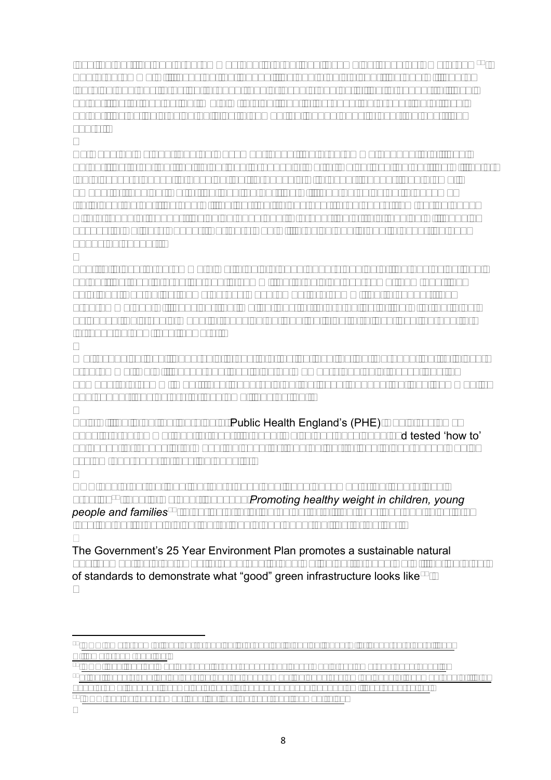local authorities and programmes and international examples, such as Amsterdam<sup>13</sup>. The programme will focus on the inequalities and ethnic disparities and will share learning and best practice through regular events and activities to support all local authorities to take action. We aim to significantly increase the proportion of local authorities actively using policies to combat childhood obesity over the next five years.

Between 25 October and 30 November 2018, the programme opened to all local authorities to set out their high-level proposals. Up to twelve local authorities will enter the discovery phase to develop their proposals with expert support and a small amount of funding. Up to five local authorities will then be selected to become trailblazer authorities and will deliver their plans over three years from spring 2019 with a range of support including £100,000. A proportion of this funding will enable access to Delivery Support Partners who will provide public health expertise and hands on support.

The trailblazer programme aims to gain a deep understanding of the obstacles local authorities face in practice and is committed to helping overcome them and find solutions. Key policy teams across Government are committed to support the programme and will consider the implications for future policy in line with the latest evidence. This could mean introducing national policies to relieve local burden, or introducing new local powers.

We recognise local leadership is key to effective local action. Through the trailblazer programme, we will encourage local elected members and chief executives to demonstrate commitment, take leadership on the issue, engage the local community and support key actors to take ambitious action.

This will build on the learning of Public Health England's (PHE) whole systems obesity programme, due to report in 2019, which has developed and tested 'how to' guidance for councils to make the case for, and deliver, a local place-based whole system approach to tackling obesity.

PHE and other national partners have published documents that share local practice<sup>14</sup>, and in October launched *Promoting healthy weight in children, young people and families*<sup>15</sup> , a series of briefing notes for all the functions and roles in a local authority explaining the rationale and opportunities for action.

The Government's 25 Year Environment Plan promotes a sustainable natural environment as a pathway to good health and wellbeing. In 2019 we will define a set of standards to demonstrate what "good" green infrastructure looks like<sup>16</sup>.

 $\overline{a}$ 

<sup>&</sup>lt;sup>13</sup> [www.amsterdam.nl/bestuur-organisatie/organisatie/sociaal/onderwijs-jeugd-zorg/zo-blijven](http://www.amsterdam.nl/bestuur-organisatie/organisatie/sociaal/onderwijs-jeugd-zorg/zo-blijven-wij/amsterdam-healthy/)[wij/amsterdam-healthy/](http://www.amsterdam.nl/bestuur-organisatie/organisatie/sociaal/onderwijs-jeugd-zorg/zo-blijven-wij/amsterdam-healthy/)

[www.local.gov.uk/making-obesity-everybodys-business-whole-systems-approach-obesity](http://www.local.gov.uk/making-obesity-everybodys-business-whole-systems-approach-obesity) <sup>15</sup>[https://assets.publishing.service.gov.uk/government/uploads/system/uploads/attachment\\_data/file/75](https://assets.publishing.service.gov.uk/government/uploads/system/uploads/attachment_data/file/750679/promoting_healthy_weight_in_children_young_people_and_families_resource.pdf) [0679/promoting\\_healthy\\_weight\\_in\\_children\\_young\\_people\\_and\\_families\\_resource.pdf](https://assets.publishing.service.gov.uk/government/uploads/system/uploads/attachment_data/file/750679/promoting_healthy_weight_in_children_young_people_and_families_resource.pdf)

<sup>16</sup> [www.gov.uk/government/publications/25-year-environment-plan](http://www.gov.uk/government/publications/25-year-environment-plan)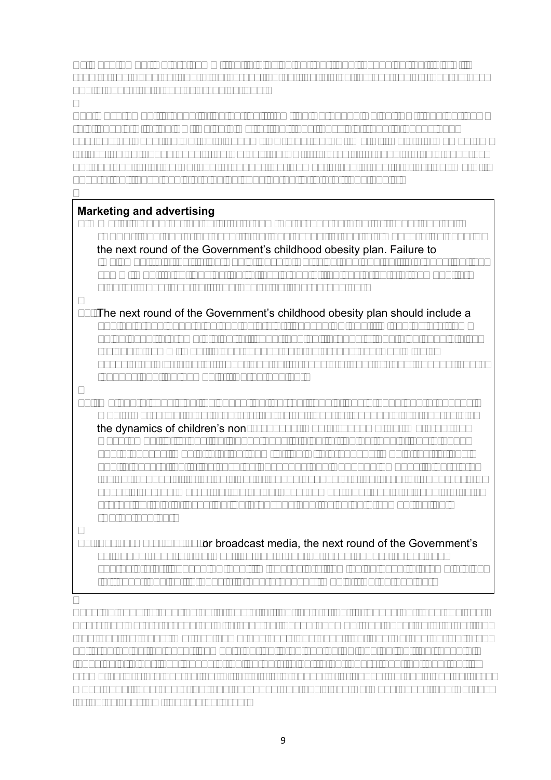As Government we are committed to playing our part and recognise that this will require sustained collaboration across the political divide, across society and across public and private sector organisations.

The Government is negotiating our exit from the European Union (EU), and our new relationship with the EU, which aims for the freest possible trade in goods and services between the United Kingdom (UK) and the EU. We will maintain momentum in tackling childhood obesity as we exit the EU. It is crucial to uphold high standards on food quality in the UK and to support our domestic public health priorities. We will ensure that these goals are being considered in future trade deals.

# **Marketing and advertising**

- 9. We fully endorse the calls for a 9pm watershed on high fat, sugar and salt (HFSS) food and drink advertising, and expect to see this measure included in the next round of the Government's childhood obesity plan. Failure to implement this restriction would leave a worrying gap and call into question the commitment to serious action to tackle one of the key drivers of demand for high fat, sugar and salt food and drink. (Paragraph 41)
- 10. The next round of the Government's childhood obesity plan should include a ban on brand generated characters or licensed TV and film characters from being used to promote high fat, sugar and salt products. The plan should also include a commitment to end sponsorship by brands overwhelmingly associated with high fat, sugar and salt products of sports clubs, venues, youth leagues and tournaments. (Paragraph 43)
- 11. We heard consistent evidence that current regulations around non-broadcast media marketing to children are ineffectual, and fail adequately to appreciate the dynamics of children's non-broadcast media consumption. We urge the Government in its next childhood obesity plan to tighten regulations around non-broadcast media to bring them in line with broadcast media restrictions, and to ensure that sites such as Facebook and YouTube amongst others are taking responsibility for helping to reduce exposure of children to inappropriate advertising and marketing, including advergames. The regulator should play a pro-active role in investigating breaches and taking enforcement action. (Paragraph 46)
- 12. Furthermore, just as for broadcast media, the next round of the Government's childhood obesity plan must include a ban on brand generated cartoon characters or licensed TV and film characters from being used to promote high fat, sugar and salt products in non-broadcast media. (Paragraph 47)

Tackling obesity requires us to look at all the factors that influence our food choices. Every day we are presented with constant encouragement and opportunity to eat the least healthy foods. We face numerous decisions about the food we and our children eat created by the advertisements our children see on TV and online; the range of foods sold in our local shops or delivered straight to our doors; and the food that is promoted in-store and online. All of this is intended to influence the decisions children make about food and drink they purchase and decisions we make about food we buy for ourselves, families and children,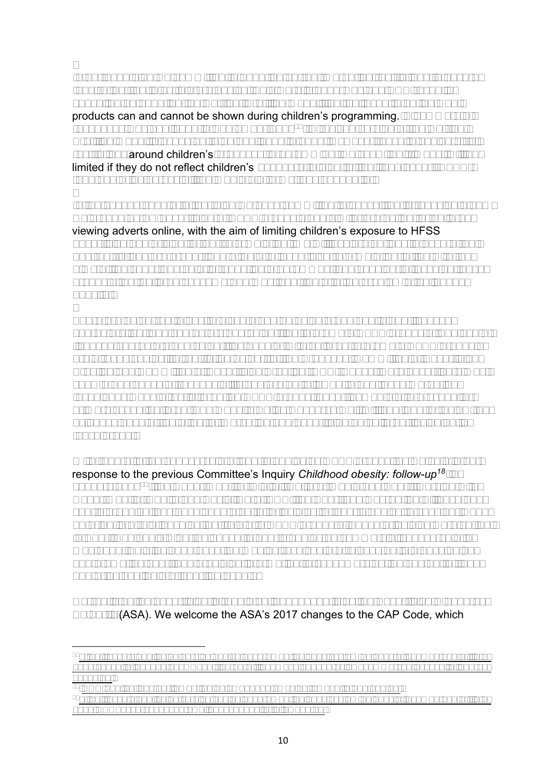In our 2016 plan we committed to updating current marketing restrictions to ensure they reflect the latest dietary advice. This work is underway and PHE recently consulted on updating the Nutrient Profiling Model, the tool used to define what products can and cannot be shown during children's programming. A summary of responses was published in September 2018<sup>17</sup>. A revised version of the Nutrient Profiling Model is expected to be published in 2019. However, despite having strict restrictions around children's broadcast programming, we know their impact will be limited if they do not reflect children's exposure to high fat, salt and sugar (HFSS) food and drink across all the media platforms they engage in.

In the second chapter of our plan we have committed to consult on introducing a 9pm watershed on TV advertising of HFSS products and similar protection for children viewing adverts online, with the aim of limiting children's exposure to HFSS advertising and driving further reformulation. We will explore options to ensure that any restrictions are proportionate, help to incentivise reformulation in line with the aims of the sugar and calorie reduction programmes, and consider a focus on those products that children consume and most contribute to the problem of childhood obesity.

There are no current plans to place a ban on using brand equity and licensed characters, cartoon characters and celebrities to promote HFSS products. The use of licensed characters and celebrities popular with children to promote HFSS products are already subject to restriction as part of the Broadcast Committee of Advertising Practice and Committee of Advertising Practice (CAP) Codes. Here advertisers must show a due sense of responsibility and are not allowed to use these marketing techniques when directly targeting HFSS product advertisements at pre-school or primary school children. The Obesity Policy Research Unit will continue to review the evidence base of the effect of marketing and advertising on children, including in these areas.

With regard to the sponsorship of sports bodies by HFSS brands, as we said in our response to the previous Committee's Inquiry *Childhood obesity: follow-up<sup>18</sup>* in January 2018<sup>19</sup>, the Department for Digital, Culture, Media and Sport, working with Department of Health and Social Care, PHE, the Sport and Recreation Alliance and sports organisations developed a set of principles for sports bodies to consider when entering into relationships that relate to HFSS products. These principles were set out in Sport England's wider guidance to sports bodies on commercial sponsorship in May 2017. This included ensuring monies received are reinvested into developing and promoting sport and providing information to consumers on the content of food and drink available at sporting events.

Currently online advertising is regulated independently by the Advertising Standards Authority (ASA). We welcome the ASA's 2017 changes to the CAP Code, which

 $\overline{a}$ 

<sup>&</sup>lt;sup>17</sup>[https://assets.publishing.service.gov.uk/government/uploads/system/uploads/attachment\\_data/file/75](https://assets.publishing.service.gov.uk/government/uploads/system/uploads/attachment_data/file/750782/consultation_on_the_UK_nutrient_profiling_model_2018_review_summary_of_consultation_responses.pdf) [0782/consultation\\_on\\_the\\_UK\\_nutrient\\_profiling\\_model\\_2018\\_review\\_summary\\_of\\_consultation\\_resp](https://assets.publishing.service.gov.uk/government/uploads/system/uploads/attachment_data/file/750782/consultation_on_the_UK_nutrient_profiling_model_2018_review_summary_of_consultation_responses.pdf) [onses.pdf](https://assets.publishing.service.gov.uk/government/uploads/system/uploads/attachment_data/file/750782/consultation_on_the_UK_nutrient_profiling_model_2018_review_summary_of_consultation_responses.pdf)

<sup>&</sup>lt;sup>18</sup> [www.publications.parliament.uk/pa/cm201617/cmselect/cmhealth/928/928.pdf](http://www.publications.parliament.uk/pa/cm201617/cmselect/cmhealth/928/928.pdf)

<sup>&</sup>lt;sup>19</sup>[https://assets.publishing.service.gov.uk/government/uploads/system/uploads/attachment\\_data/file/67](https://assets.publishing.service.gov.uk/government/uploads/system/uploads/attachment_data/file/673314/HSC_gov_response_-_Childhood_obesity-follow_up.pdf) 3314/HSC\_qov\_response - Childhood\_obesity-follow\_up.pdf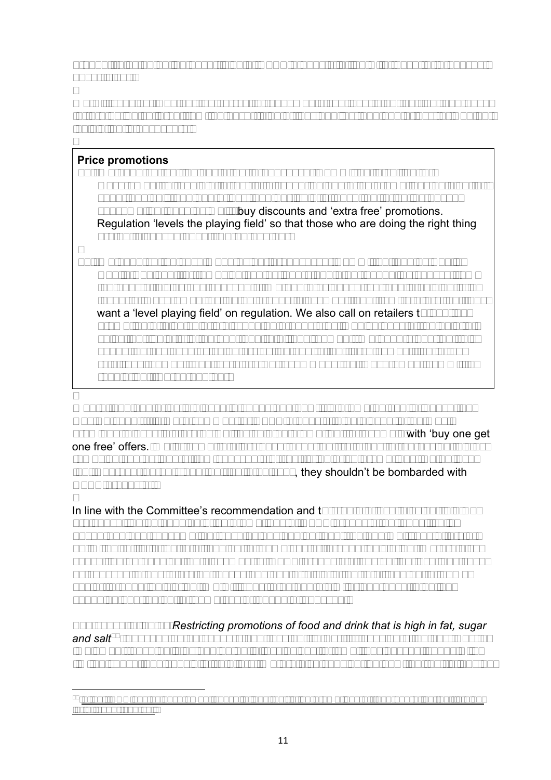brought rules on online advertising of HFSS products in line with those for broadcast advertising.

We will consider whether the current arrangements continue to be the right approach for protecting children from the advertising of less healthy food and drinks, or whether legislation is necessary.

# **Price promotions**

- 13. We endorse the findings of our predecessor Committee in calling for Government to regulate to restrict discounting and price promotions on high fat, sugar and salt food and drinks, and particularly those that drive increased consumption, such as multi- buy discounts and 'extra free' promotions. Regulation 'levels the playing field' so that those who are doing the right thing are not disadvantaged. (Paragraph 53)
- 14. We endorse the case made by our predecessor Committee, and by Public Health England, for removing confectionery and other unhealthy snacks from the ends of aisles and checkouts. We heard evidence that public opinion is in favour of Government action on product placement, and from retailers that they want a 'level playing field' on regulation. We also call on retailers to end the promotion of high calorie discounted products as impulse buys at the point of sales, particularly in the non-food retail environment. We understand that this cannot be achieved by voluntary action due to the fierce competition in the retail environment, and therefore we recommend that Government commit to regulation. (Paragraph 59)

Where food and drink is placed in shops and how it is promoted can influence the way we shop. It is more common for HFSS products to be placed in the most prominent places in store as well as sold on promotion, for example with 'buy one get one free' offers. Whilst some retailers have taken the first steps to redressing this by removing confectionary from checkouts or restricting price promotions, we believe that wherever parents and their children shop, they shouldn't be bombarded with HFSS products.

In line with the Committee's recommendation and to create a level playing field we are consulting on banning price promotions of HFSS products that specifically encourage overconsumption, such as buy one get one free and multi-buy offers or unlimited refills in the retail and out of home sector through legislation. We are also consulting on banning the placement of HFSS products at key selling locations such as checkout areas, store entrances and end of aisle in the retail and out of home sector through legislation. We will seek to extend a similar approach to online shopping and the out of home sector ahead of checkout.

The consultation on *Restricting promotions of food and drink that is high in fat, sugar and salt*<sup>20</sup> launched on 12 January and runs until 6 April. It considers the best way to implement these policies and potential exclusions for small businesses, shops with limited space, and specialist retailers. We are also considering how the restrictions on

 $\ddot{\phantom{a}}$ <sup>20</sup> [https://www.gov.uk/government/consultations/restricting-promotions-of-food-and-drink-that-is-high](https://www.gov.uk/government/consultations/restricting-promotions-of-food-and-drink-that-is-high-in-fat-sugar-and-salt)[in-fat-sugar-and-salt](https://www.gov.uk/government/consultations/restricting-promotions-of-food-and-drink-that-is-high-in-fat-sugar-and-salt)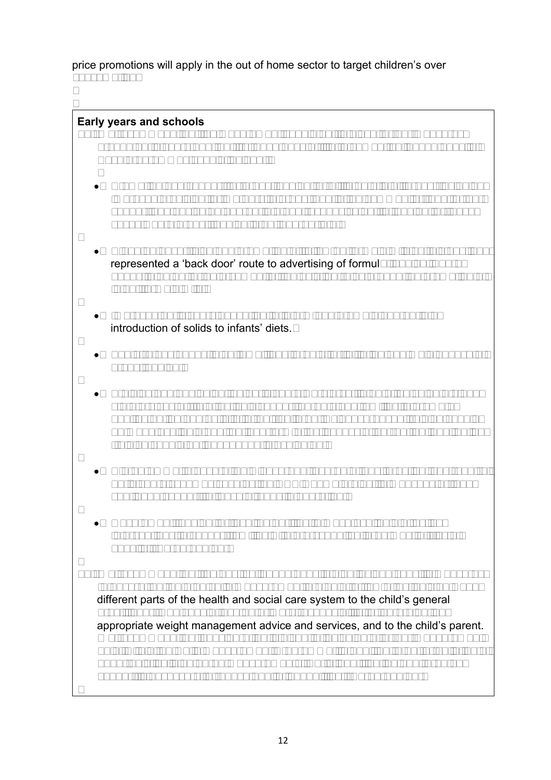price promotions will apply in the out of home sector to target children's over consumption.

# **Early years and schools**

- 15. We recommend that the Government should put in place further measures around early years and the first 1000 days of life to combat childhood obesity. Such programmes should include:
	- Promotion and support for breastfeeding for all infants in all areas (including improved provision for mothers to breastfeed in the community), and further support and advice on appropriate and responsive bottle feeding for those cases where breast feeding is not appropriate.
	- A ban on advertising and promotion of follow on formula milk as this has long represented a 'back door' route to advertising of formula feeding. There needs to be better enforcement of the existing rules around the promotion of infant formula milk.
	- Improved early years education to inform and promote appropriate introduction of solids to infants' diets.
	- The strategy needs to set ambitious targets for initiation and maintenance of breastfeeding.
	- Training and equipping the early years workforce, in both the voluntary and statutory sector, to effectively support parents and families to promote healthy eating and activity in their children. Evidence-based training should be made available and the long-term effectiveness of current national online training should be independently evaluated.
	- A programme to ensure the widespread take-up of best practice, cost-neutral early years schemes such as the NHS Champ project in Manchester, and continued support to those already in operation.
	- Government funding for local authorities to make available effective interventions to support families with pre-school children most at risk of obesity. (Paragraph 63)
- 16. We recommend that the next childhood obesity plan include specific measures to ensure that data on child measurement are able to flow effectively between different parts of the health and social care system to the child's general practitioner, who should take on primary responsibility for co-ordinating appropriate weight management advice and services, and to the child's parent. We recommend that consideration is given to including a further measurement point within the Child Measurement Programme, in addition to better collation of opportunistically gathered measurements. Early identification and targeted support is necessary to reduce health inequalities. (Paragraph 65)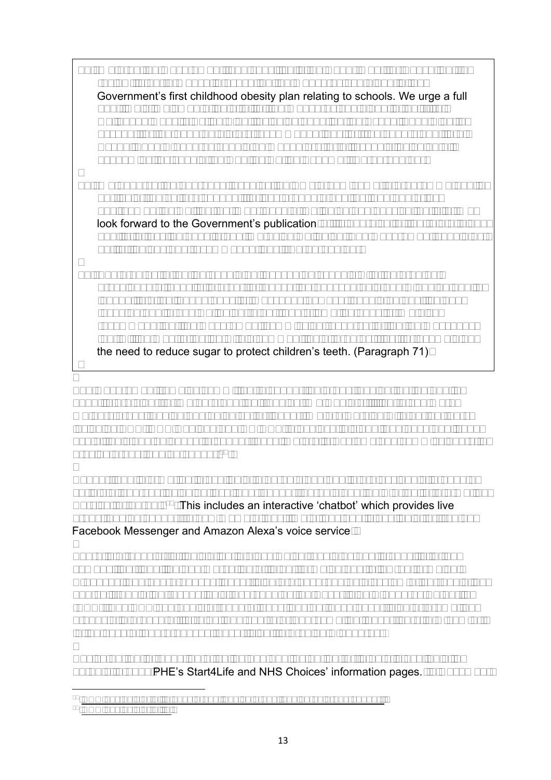- 17. We urge the Government, and specifically the Department for Education, to review its performance in executing the measures contained in the Government's first childhood obesity plan relating to schools. We urge a full and timely implementation of all of the measures contained in their first Childhood Obesity Action Plan, including updating the School Food Plan to account for the updated dietary recommendations for free sugars and fibre. School Food Standards should be mandatory for all schools including all academies, as should the Healthy Rating Scheme. (Paragraph 69)
- 18. We endorse the approach taken by the Amsterdam Jump In programme and in particular the culture change it drives around a healthy food and drink environment as well as the importance of wellbeing and physical activity. We look forward to the Government's publication of its appraisal of the role of sleep quality in tackling obesity and improving wellbeing. The Government should act on its findings and recommendations. (Paragraph 70)
- 19. The greatest attention should be focused on schools with the greatest prevalence of obesity in order to reduce the unacceptable and widening health inequality of childhood obesity. Messages however should be positive and focus on health and wellbeing rather than stigmatise obesity. We also recommend that the Government commission research to find the messages that will be most effective within communities at greatest risk, for example on the need to reduce sugar to protect children's teeth. (Paragraph 71)

The Government remains committed to supporting breastfeeding, as the health benefits are clear for mothers and their babies. We would still like to see more mothers breastfeeding and doing so for longer. We are working with our partners including PHE, NHS England and UNICEF to achieve this goal and have published useful tools and guidance to support Local Maternity Systems and commissioners to provide breastfeeding support $21$ .

Support and information is available to parents and health professionals through a variety of sources including local peer support parents and the Start4Life Information Service for parents<sup>22</sup>. This includes an interactive 'chatbot' which provides live breastfeeding support to new mums at any time of day and is available for free on Facebook Messenger and Amazon Alexa's voice service.

There is already strict legislation in place which regulates and is specific to the composition, labelling and marketing of infant formulae and follow-on formulae. Broadcast and non-broadcast advertising are governed by a system of co-regulation and self-regulation respectively, overseen by the Advertising Standards Authority (ASA). The ASA can apply a range of sanctions on those advertising or promoting products in breach of its rules, and can refer non-compliant advertisers to Ofcom or, in the case of non-broadcast advertising, to Trading Standards.

Advice on the introduction of solids and healthy eating for infants is available to parents through PHE's Start4Life and NHS Choices' information pages. In November

 $\ddot{\phantom{a}}$ <sup>21</sup> [www.nhs.uk/start4life/baby/breastfeeding/breastfeeding-help-and-support/](http://www.nhs.uk/start4life/baby/breastfeeding/breastfeeding-help-and-support/)

<sup>22</sup> [www.nhs.uk/start4life/](http://www.nhs.uk/start4life/)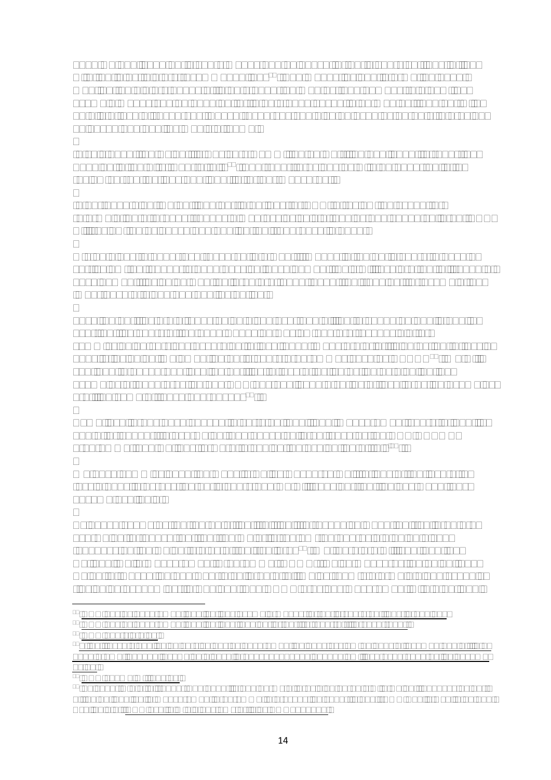2017 we published early years menus and guidance for early years settings in line with the latest dietary recommendations<sup>23</sup>. The menus include information about meeting the dietary needs of infants under 12 months, and demonstrate how the example menus can be adapted for infants aged seven to 12 months, together with details of useful resources. These resources can also be used by parents to provide balanced and healthy meals at home.

In July 2018, the Scientific Advisory Committee on Nutrition published its report on Feeding in the First Year of Life<sup>24</sup>. The report provides us with an opportunity to review current actions and identify further measures.

In our 2016 plan, we outlined our intentions for PHE to review the scope for reformulation of product ranges aimed exclusively at babies and young children. PHE will review the evidence and publish their approach in 2019.

Ofsted plans to undertake research into what it means in the early years to have a curriculum that supports good physical development. This will explore the full range of development, including what children are taught about their bodies, for example the importance of sleep and healthy eating.

Local authorities are already being given over £16 billion to spend on public health over the five years of the 2015 Spending Review and are responsible for commissioning services according to local need. Many are prioritising action to tackle obesity including implementing early years programmes such as HENRY<sup>25</sup>. We will continue to encourage local authorities to take effective action by highlighting examples of good practice and PHE has published a series of local practice examples profiling some of these approaches<sup>26</sup>.

Some local areas have chosen to carry out additional measurement years to identify and offer support to overweight and obese children, such as the NHS CHAMP programme, and we look forward to seeing the evaluation of this  $27$ .

We have commissioned the Obesity Policy Research Unit to look at the levers to tackle obesity across the early years and we will consider the findings when they become available.

Evidence shows us that parents find it difficult to recognise when their children are overweight or obese, but that the majority (87.2%) do appreciate being given feedback on the weight status of their children<sup>28</sup>. We therefore will continue the National Child Measurement Programme (NCMP), which measures the height and weight of Reception and Year 6 children at all mainstream state-maintained schools (including academies) in England. The NCMP provides Government with a national

 $\overline{a}$ <sup>23</sup> [www.gov.uk/government/publications/example-menus-for-early-years-settings-in-england](http://www.gov.uk/government/publications/example-menus-for-early-years-settings-in-england)

<sup>&</sup>lt;sup>24</sup> [www.gov.uk/government/publications/feeding-in-the-first-year-of-life-sacn-report](http://www.gov.uk/government/publications/feeding-in-the-first-year-of-life-sacn-report)

<sup>25</sup> [www.henry.org.uk/](http://www.henry.org.uk/)

<sup>&</sup>lt;sup>26</sup>[https://assets.publishing.service.gov.uk/government/uploads/system/uploads/attachment\\_data/file/75](https://assets.publishing.service.gov.uk/government/uploads/system/uploads/attachment_data/file/750680/promoting_healthy_weight_in_children_young_people_and_families_resource_practical_examples.pdf) [0680/promoting\\_healthy\\_weight\\_in\\_children\\_young\\_people\\_and\\_families\\_resource\\_practical\\_exampl](https://assets.publishing.service.gov.uk/government/uploads/system/uploads/attachment_data/file/750680/promoting_healthy_weight_in_children_young_people_and_families_resource_practical_examples.pdf) [es.pdf](https://assets.publishing.service.gov.uk/government/uploads/system/uploads/attachment_data/file/750680/promoting_healthy_weight_in_children_young_people_and_families_resource_practical_examples.pdf)

<sup>27</sup> [www.champ.mft.nhs.uk/](http://www.champ.mft.nhs.uk/)

 $28$  Falconer C L et al (2014) The benefits and harms of providing parents with weight feedback as part of the national child measurement programme: a prospective cohort study. (BMC Public Health 14:549. Available at: [www.ncbi.nlm.nih.gov/pmc/articles/PMC4057922/](http://www.ncbi.nlm.nih.gov/pmc/articles/PMC4057922/)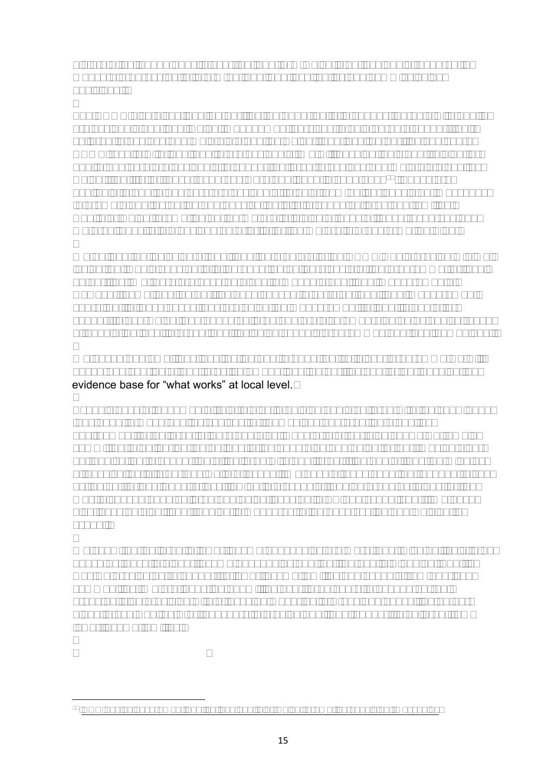picture of childhood obesity over the long term which is an invaluable resource to measure progress by to inform national and local policy and commissioning decisions.

The NCMP also gives local authorities the opportunity to connect parents with health professionals and local weight management services to help parents support their children to achieve and maintain a healthy weight, and local authorities can share NCMP results with local health professionals. We will develop tools and training for health and care professionals to support children to achieve and maintain a healthy weight, the first of these resources were published in June 2018<sup>29</sup>. These are available to health and care professionals, to help them deliver consistent messages to promote healthy eating and physical activity to young children and families. Healthier weight promotion during maternity is also a focus of these resources and maternal obesity is a designated priority for the Maternity Transformation Plan.

We believe the inclusion of additional data points in the NCMP would provide minimal insight but would substantially increase the delivery costs of the programme for local authorities. We therefore have no plans to mandate additional measurements. However, some local authorities have chosen to carry out additional measurement years, but in these cases they are using the measurement to identify and offer support to overweight and obese children and are also embarking on extensive range of population level interventions, including schools programmes and local campaigns.

We encourage ambitious local action and through the trailblazer programme we will encourage sharing of best practice among local authorities and further develop the evidence base for "what works" at local level.

Schools have a fundamental role to play in helping equip children with the knowledge they need to make healthy choices for themselves and creating a healthy environment for children to learn and play. Chapter 2 of our plan shows we remain committed to delivering the actions in the 2016 plan and going further, making clear our dedication to supporting all children with quality nutrition and at least 30 minutes of physical activity per day while at school. We have already seen the revenue raised by the soft drinks industry levy flowing into schools, funding breakfast clubs for the most disadvantaged children and being invested in PE and school sport. We have also invested significant funding in measures to increase cycling and walking to school.

We know that children in lower income households are more than twice as likely to be obese as those in higher income households and that the gap is widening. That is why we provide extra support to lower income families and schools from deprived communities. We are investing £26million over three years to expand current breakfast club provision with a focus on Opportunity Areas and consulting on our plans to use Healthy Start vouchers to provide additional support to children from lower income families.

 $\overline{a}$ <sup>29</sup> [www.gov.uk/government/publications/healthier-weight-promotion-consistent-messaging](http://www.gov.uk/government/publications/healthier-weight-promotion-consistent-messaging)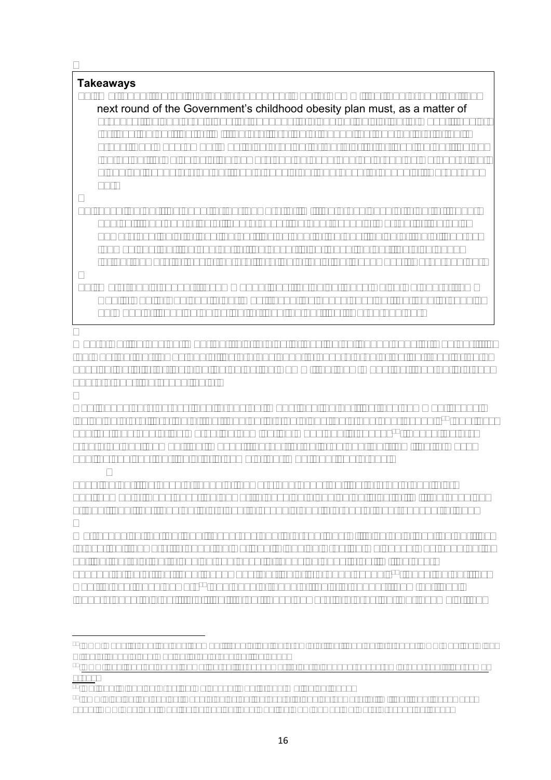#### **Takeaways**

- 20. We repeat the calls of our predecessor Health Committee, and argue that the next round of the Government's childhood obesity plan must, as a matter of urgency, include provisions for changes to planning legislation to make it easier for local authorities to limit the proliferation of unhealthy food outlets in their areas. The Government must also provide further clarity for local authorities on the extent to which existing powers can be used and enforced as we heard that planning inspectors do not take a consistent approach to appeals. (Paragraph 78)
- 21. Local authorities need further powers to limit the prevalence of high fat, sugar and salt food and drink billboard adverting near schools. Currently, the only powers available to local authorities extend to the positioning of the billboards themselves, not the content of the advertising. Local authorities also need further powers to tackle the proliferation of existing takeaways. (Paragraph 79)
- 22. We strongly support recommendations, including those which we heard from Public Health England in our most recent evidence session, that health should be made a licensing objective for local authorities. (Paragraph 80)

Where we live has an important role to play in tackling childhood obesity, whether it is the way that our towns and cities are designed to ensure greater active travel or safe physical activity, or, as highlighted by the Committee, how many fast food outlets can operate near the school gate.

Challenges vary across local areas but many local authorities face common issues,  $\mu$ including a proliferation of fast food outlets on highstreets and near schools<sup>30</sup> and less healthy food and drink marketing dominating many public spaces<sup>31</sup>. These factors create an environment that makes it harder for children and their families to make healthy choices, particularly in some of our most deprived areas.

Local authorities have a range of powers and opportunities to create healthier environments. They have the power to develop planning policies to limit the opening of additional fast food outlets close to schools and in areas of over-concentration.

We recognise that national resources and interventions will also help local authorities to use their powers. In 2017 the National Planning Practice Guidance was updated to outline the role that planning can have in reducing obesity by limiting over- $\alpha$  concentration of fast food takeaways, particularly around schools<sup>32</sup>. Local authorities want to use these powers $33$  and have a range of tools to support them but local leaders have told us it is difficult to put these powers into practice. For example, the

 $\overline{a}$ <sup>30</sup> PHE Obesity and the environment: regulating the growth of fast food outlets 2013; PHE Healthy High Streets: good place making in an urban setting 2018

<sup>31</sup> [www.local.gov.uk/about/news/lga-call-crackdown-trojan-telephone-boxes-amid-900-cent-rise-some](http://www.local.gov.uk/about/news/lga-call-crackdown-trojan-telephone-boxes-amid-900-cent-rise-some-areas)[areas](http://www.local.gov.uk/about/news/lga-call-crackdown-trojan-telephone-boxes-amid-900-cent-rise-some-areas)

 $\frac{32}{32}$  National Planning Practice Guidance, Health and Wellbeing, 2017

<sup>&</sup>lt;sup>33</sup> LGA Tipping the scales: Case studies on the use of planning powers to limit hot food takeaways 2016; NHS England, Healthy by design: The Healthy New Towns Network Prospectus, 2018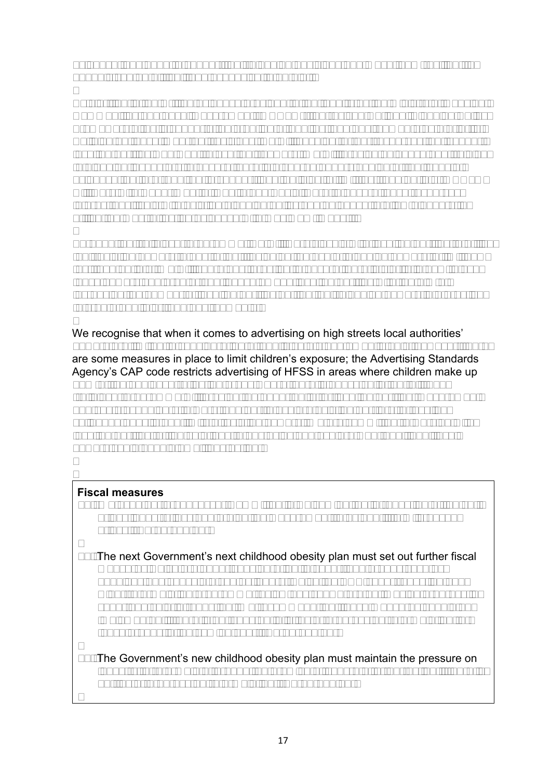evidence they need to support their planning decisions and make them resilient to appeals can be difficult and expensive to obtain.

As clarified in the written evidence provided to the Inquiry by the Ministry of Housing, Communities and Local Government (MHCLG), the revised National Planning Policy Framework directly supports the creation of healthy food environments as a priority. Building on these important revisions, we will develop further resources that support local authorities who want to use their powers. We will provide guidance and training to planning inspectors to ensure there is a shared understanding of the types of evidence that are required to support local policies to limit fast food outlets. MHCLG will work with Department of Health and Social Care to ensure these resources interact positively with existing planning policy and guidance to allow planners to utilise the most effective evidence with maximum impact.

Through the trailblazer programme, we will work closely with local authorities to utilise their existing powers to best effect, including the use of planning powers to limit new fast food outlets. We will share best practice to ensure there is clarity in how to use these powers and greater confidence among local authorities with the aim of increasing the number of local authorities putting their planning powers into practice to create healthier food environments.

We recognise that when it comes to advertising on high streets local authorities' powers are limited to consideration of public safety and amenity only, however, there are some measures in place to limit children's exposure; the Advertising Standards Agency's CAP code restricts advertising of HFSS in areas where children make up 25% of the audience reflecting areas where there is heavy child footfall. The trailblazer programme will provide the opportunity for local authorities, Government and key stakeholders to work together to explore existing barriers to tackling childhood obesity and limits of existing powers. We are committed to working with local authorities to find solutions to obstacles and explore what additional local powers could enable ambitious action.

#### **Fiscal measures**

- 23. We echo our predecessor Committee in welcoming the introduction of the soft drinks industry levy and urging the Government to extend it to milk-based drinks. (Paragraph 84)
- 24. The next Government's next childhood obesity plan must set out further fiscal measures which are under consideration to cover food groups such as puddings and chocolate confectionary, which the PHE sugar reduction and wider reformulation programme review has shown are not making progress in sugar and calorie reduction. We recommend that these measures should be implemented if there is not substantially faster progress on reformulation for these groups in the coming year. (Paragraph 85)
- 25. The Government's new childhood obesity plan must maintain the pressure on industry to reformulate through the promise of concrete further action if there is not faster progress on reformulation. (Paragraph 87)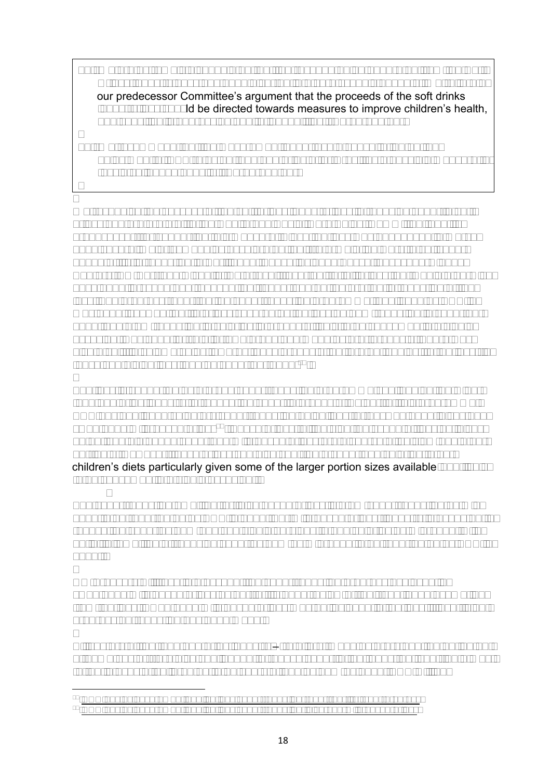- 26. We are extremely disappointed that the revenue being generated from the Soft Drinks Industry Levy has been diverted into core schools budgets. We reiterate our predecessor Committee's argument that the proceeds of the soft drinks industry levy should be directed towards measures to improve children's health, and specifically addressing health inequalities. (Paragraph 92)
- 27. We recommend that the Government undertake a consultation on the adjustment of VAT rates on food and drink after Brexit as a possible measure to tackle childhood obesity. (Paragraph 95)

We recognise the success of the soft drinks industry levy in reducing sugar in soft drinks and are grateful to the Health and Social Care Select Committee, and its predecessor, for supporting this measure. Since the levy was announced in March 2016 several major companies accelerated their reformulation work to cut sugar ahead of its introduction in April 2018. These included Tesco, Lucozade-Ribena-Suntory, AG Barr and Nicholls. As a result, over half of all drinks that would otherwise have been in-scope had reduced their sugar content before the introduction of the levy. The progress report on the sugar reduction programme, published by PHE in May 2018, showed that in drinks covered by the levy an 11% reduction in sugar per 100g, and a 6% reduction in calories in products likely to be consumed in a single occasion, was seen for retailer own brand and manufacturer products. There was also a shift in volume sales towards those products that are not subject to the levy (ie those containing less than 5g sugar per  $100g)^{34}$ .

The levy is supported by a broad sugar reduction programme challenging the wider food and drink industry to reduce the sugar in products. As part of this programme, PHE has published voluntary sugar reduction guidelines for unsweetened juices and sweetened milk-based drinks $35$ . These drinks fall outside the scope of levy as juices do not contain added sugar and milk based drinks are a source of calcium and other nutrients. However, these drinks can also contribute sugar and calories to our children's diets particularly given some of the larger portion sizes available and likely to be consumed in a single occasion.

The sugar reduction ambition for juice based drinks is a 5% sugar reduction by mid-2021 to be reported on by PHE in 2022. For milk based drinks, industry is expected to reduce the sugar by 20% and cap single servings to 300 calories by mid-2021, with an initial ambition of reducing sugar by 10% by mid-2019 to be reported on by PHE in 2020.

HM Treasury will take into account the sugar reduction progress achieved in sweetened milk based drinks as part of its 2020 review of their continued exemption from the levy. Sweetened milk based drinks may be included in the levy if insufficient progress on reduction has been made.

All sectors of the food and drink industry – retailers, manufacturers and the eating out of home sector - are also challenged to reduce sugar in the foods that contribute most to the intakes of children up to 18 years of age by 20% by 2020. PHE will be

 $\ddot{\phantom{a}}$ <sup>34</sup> [www.gov.uk/government/publications/sugar-reduction-report-on-first-year-progress](http://www.gov.uk/government/publications/sugar-reduction-report-on-first-year-progress)

<sup>35</sup> [www.gov.uk/government/publications/sugar-reduction-juice-and-milk-based-drinks](http://www.gov.uk/government/publications/sugar-reduction-juice-and-milk-based-drinks)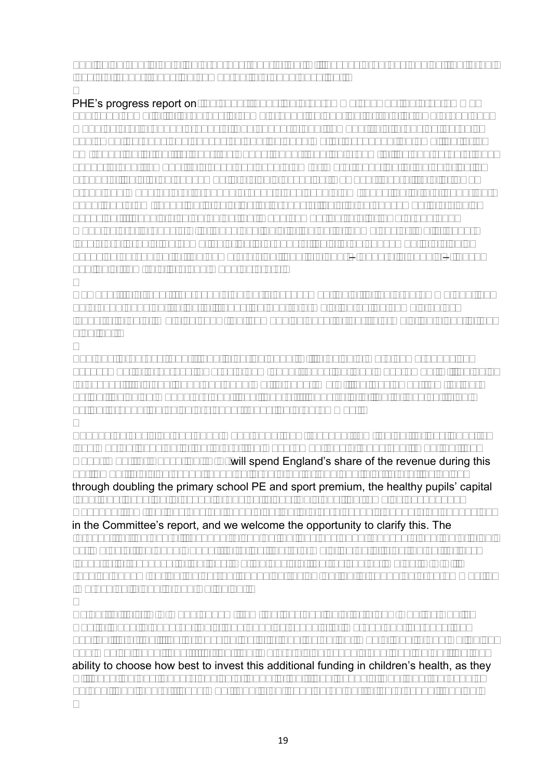publishing yearly detailed progress reports that will assess progress against the target levels of sugar reduction compared to a 2015 baseline.

PHE's progress report on the sugar reduction programme showed the programme had seen some initial progress in some product categories for retailer own brand and manufacturer branded products. The yoghurts and fromage frais, breakfast cereals and sweet spreads and sauces categories have met or exceeded the ambition for a 5% reduction in the first year (by August 2017), and ice cream lollies and sorbets, and yoghurts and fromage frais have achieved a 5% or more reduction in the calories in products likely to be consumed in a single occasion. However, overall retailer own brand and manufacturer branded products achieved a 2% reduction in total sugar per 100g, and a 2% reduction in calories for products likely to be consumed in a single occasion. It should also be noted that when comparing retailer own brand and manufacturer products with those available in the out of home sector, whilst sugar levels are largely the same, calories in products likely to be consumed in a single occasion served out of the home are significantly higher – generally double – those available from retailers and manufacturers.

However, this report represents an early assessment point in the programme and the data used does not reflect all reduction and reformulation action completed by industry to date. We also know that companies have further reformulation plans in the pipeline.

The next progress report, due in spring 2019, will provide a more comprehensive assessment of progress towards a 20% sugar reduction, and Government will be able to assess if this challenge has been met in 2021. We will not shy away from further action, including mandatory and fiscal levers, if industry is failing to take sufficient action through the voluntary sugar reduction programmes.

Though no decision has been made about how revenue from the soft drinks industry levy may be invested in the future, the Government has already confirmed that the Department for Education (DfE) will spend England's share of the revenue during this parliament in giving school-aged children a better and healthier future, including through doubling the primary school PE and sport premium, the healthy pupils' capital fund, and investing in school breakfast clubs. This position remains unchanged. Revenue from the levy has not been diverted into core schools budgets as suggested in the Committee's report, and we welcome the opportunity to clarify this. The forecast for the overall revenue raised by the levy has been reduced since the original estimates at the 2016 Budget, to reflect the reformulation activity by the soft drinks industry in response to the levy. On the basis of the revised estimates, DfE will receive £575m during the current spending review period to spend on programmes to improve child health and wellbeing.

As part of this, DfE made £100m from the levy available for a new Healthy Pupils Capital Fund in 2018-19. This fund enables schools to improve and increase the availability of facilities for physical activity, healthy eating, mental health and wellbeing and medical conditions. It is right that we are giving schools and local authorities the ability to choose how best to invest this additional funding in children's health, as they will have the best understanding of need in their local schools. The fund represents an additional one-off investment, and is not considered part of core school funding.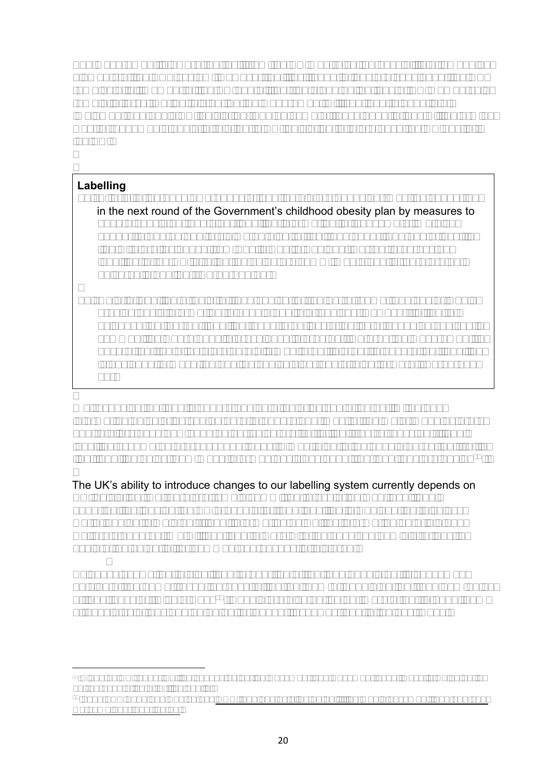The Government is aware that exit from the EU may raise the possibility of amending elements of the VAT system. However, until exit negotiations are concluded, the UK remains a full member of the EU and all the rights and obligations of EU membership remain in force. During this period the Government will continue to negotiate, implement and apply EU legislation. The outcome of these negotiations will determine what arrangements apply in relation to EU legislation in future once the UK has left the EU.

# **Labelling**

- 28. Efforts to increase awareness of healthy dietary behaviour must be supported in the next round of the Government's childhood obesity plan by measures to ensure consistent and clear labelling information for consumers. We also support a ban on health claims on high fat, salt and sugar food and drinks, in line with oral evidence from Public Health England. Current progress on labelling in the UK is reliant on voluntary commitments and is therefore not universally applied. (Paragraph 98)
- 29. Calorie labelling at point of food choice for the out-of-home food sector would provide basic information to enable healthier choices. However, in light of evidence that current labelling tends to be less effective at changing choices in communities where obesity prevalence is greatest, we urge the Government to ensure that the effects are carefully monitored, in order to ensure that labelling is designed to make the healthy choice clear and straightforward. (Paragraph 99)

We recognise that public understanding of calories can often be limited and information on calories can be hard to understand. Most of the major manufacturers and retailers have now adopted our voluntary traffic light front-of-pack nutritional labelling scheme on pre-packaged foods. Almost nine in ten people agree that traffic light labelling helps them make informed decisions about the food they are buying $36$ .

The UK's ability to introduce changes to our labelling system currently depends on EU legislation; we therefore remain committed to exploring what additional opportunities leaving the EU presents for food labelling in England that displays world-leading, simple nutritional information as well as information on origin and welfare standards. We will continue to work with the devolved administrations to explore the potential for common approaches in this area.

Evidence shows that a significant proportion of the food people eat is consumed outside of the home; recent surveys tell us that 96% of people eat out, and 43% do so at least once or twice a week<sup>37</sup>. People are also eating out more often; in 2014, 75% of people said they had eaten out or bought takeaway food in the past week,

 $\overline{a}$ <sup>36</sup> Diabetes UK (2018).Polling conducted during November and December 2017. Results weighted to be representative of British public.

<sup>&</sup>lt;sup>37</sup> 2016 FSA Food and You survey [www.food.gov.uk/sites/default/files/media/document/food-and-you](http://www.food.gov.uk/sites/default/files/media/document/food-and-you-w4-combined-report_0.pdf)[w4-combined-report\\_0.pdf](http://www.food.gov.uk/sites/default/files/media/document/food-and-you-w4-combined-report_0.pdf)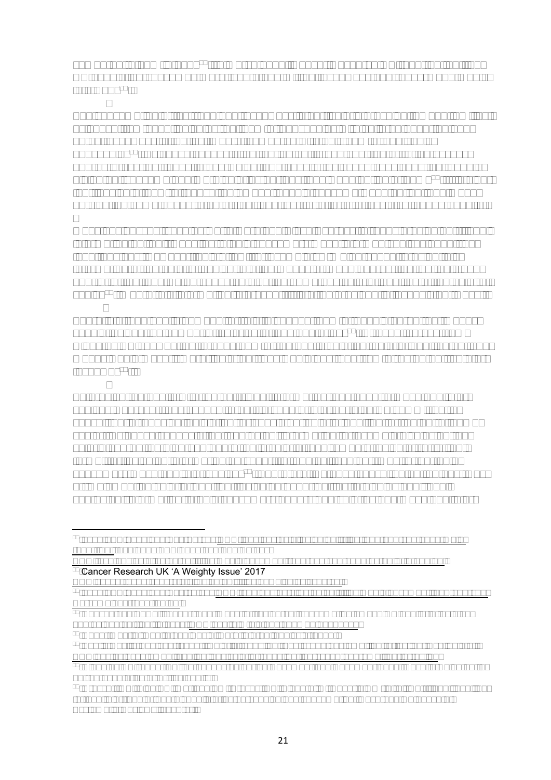compared to 68% in 2010<sup>38</sup>. In March 2017, Cancer Research UK reported that the UK population consumes more than a 100 million takeaways and ready-made meals in a week<sup>39</sup>.

The consumption of fast food and takeaways is particularly prevalent among families; evidence from 2016 indicates that 68% of households with children under 16 had eaten takeaways in the last month, compared with only 49% of adult-only households<sup>40</sup>. Evidence suggests that eating out is one contributor to the excess energy intake that leads to overweight and obesity; evidence concludes that people dining out consume 200 more calories per day than when eating at home<sup>41</sup>. It is clear that looking at how to reduce the amount people consume when eating food made outside the home needs to be a significant part of efforts to tackle childhood obesity.

Many businesses, such as Caffé Nero and Pizza Express, already provide nutritional information on their websites to help consumers make informed choices about the food they buy. However, only a few, for example JD Wetherspoon, provide this information at the point of choice (e.g. on menus or menu boards), so that only one quarter of the food we purchase outside the home has calorie labelling at the point of choice<sup>42</sup>. Where this information is present, it is often provided in inconsistent ways.

There is strong public demand for this to change. 79% of people agree that menus should include the number of calories in food and drinks<sup>43</sup>. A recent survey from Diabetes UK showed that around 60% of the public said that calorie labelling on food menus would make it more likely that they would buy food from a restaurant, café or takeaway<sup>44</sup>.

To provide the public with the nutritional information they need to make healthier choices wherever they choose to eat, in chapter 2 of our plan we committed to consult on introducing legislation for consistent calorie labelling for the out of home sector. Evidence suggests that contextual information for example displaying the calorie content as a percentage of daily calorie requirements, using a traffic light format, or including information on sugar, fat and salt content, may further help consumers make healthier choices<sup>45</sup>. Therefore, we have consulted on the best way of implementing calorie labelling, including opportunities to display additional contextual information to help consumers understand calories and make healthier

[www.cancerresearchuk.org/sites/default/files/a\\_weighty\\_issue.pdf](http://www.cancerresearchuk.org/sites/default/files/a_weighty_issue.pdf)

 $\ddot{\phantom{a}}$ 

<sup>38 2010</sup> FSA Food and You Surve[y www.food.gov.uk/sites/default/files/food-and-you-2010-main](http://www.food.gov.uk/sites/default/files/food-and-you-2010-main-report.pdf)[report.pdf,](http://www.food.gov.uk/sites/default/files/food-and-you-2010-main-report.pdf) and 2014 FSA Food and You Survey

[www.food.gov.uk/sites/default/files/media/document/food-and-you-2014-uk-bulletin-3\\_0.pdf](http://www.food.gov.uk/sites/default/files/media/document/food-and-you-2014-uk-bulletin-3_0.pdf) <sup>39</sup> Cancer Research UK 'A Weighty Issue' 2017

<sup>40</sup> 2016 FSA Food and You survey [www.food.gov.uk/sites/default/files/media/document/food-and-you](http://www.food.gov.uk/sites/default/files/media/document/food-and-you-w4-combined-report_0.pdf)[w4-combined-report\\_0.pdf](http://www.food.gov.uk/sites/default/files/media/document/food-and-you-w4-combined-report_0.pdf)

 $41$  Nguyen and Powell (2014). The impact of restaurant consumption among US adults: effects on energy and nutrient intakes. [www.ncbi.nlm.nih.gov/pubmed/25076113](http://www.ncbi.nlm.nih.gov/pubmed/25076113)

<sup>42</sup> Department of Health and Social Care internal analysis (2018)

<sup>43</sup> Public Health England (2018). Calorie reduction: The scope and ambition for action. Available at: [www.gov.uk/government/publications/calorie-reduction-the-scope-and-ambition-for-action](http://www.gov.uk/government/publications/calorie-reduction-the-scope-and-ambition-for-action)

<sup>44</sup> Diabetes UK (2018). Polling conducted during November and December 2017. Results weighted to be representative of British public.

<sup>45</sup> Crockett RA, King SE, Marteau TM, Prevost AT, Bignardi G, Roberts NW, et al. Nutritional labelling for healthier food or non-alcoholic drink purchasing and consumption. Cochrane Database of Systematic Reviews. 2018(2).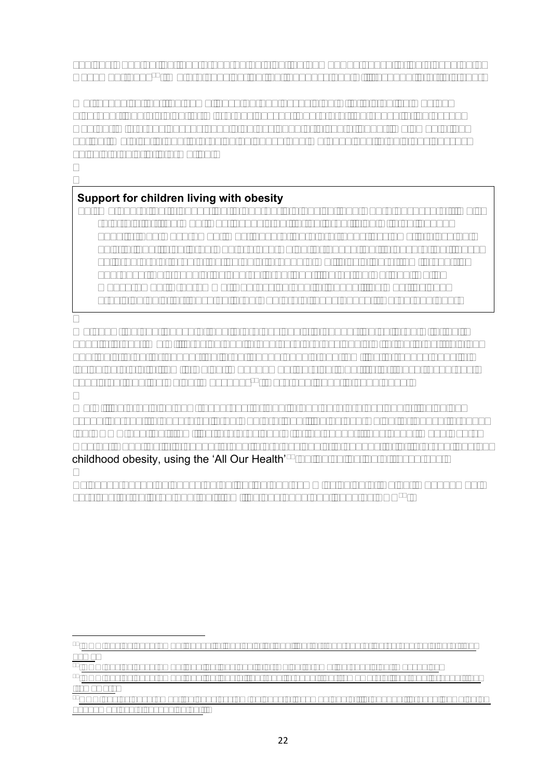choices when eating food prepared outside the home. The consultation closed on 7 December 2018<sup>46</sup>. We are considering the feedback and will respond later this year.

We recognise that the compliance burden associated with this policy may be disproportionately high for micro-businesses. Therefore, the consultation asked whether micro-businesses should be excluded or given a longer implementation period. We also intend to provide guidance and methodology to help businesses calculate calorie information.

#### **Support for children living with obesity**

30. We heard that signposting to appropriate advice, and where necessary, timely referrals for treatment was inconsistent for children living with childhood obesity. The Government must ensure there are robust systems in place not only to identify children who are overweight or obese, but to ensure that these children are offered effective help through a multidisciplinary, family-centric approach. This should include children identified by the National Child Measurement Programme. Addressing health inequalities must include providing help for those children who are already obese. (Paragraph 103)

We know the confidence of health professionals in supporting children with their obesity is key. We will provide health and care professionals with the latest training and tools to better support children, young people and families to reduce obesity, including a digital family weight management service. The first of these resources, consistent healthy weight messages<sup>47</sup>, were published in June 2018.

We will be providing new resources for health and care professionals, including school nurses, to ensure children who are identified as overweight or obese through the NCMP and their families, are provided with the support they need. Make Every Contact Count activity supports health professionals to conduct brief interventions on childhood obesity, using the 'All Our Health'<sup>48</sup> online collection of resources.

Evidence-based guidance on delivering and commissioning of weight management services for children and their families has been published by PHE<sup>49</sup>.

 $\overline{a}$ 

<sup>46</sup> [www.gov.uk/government/consultations/calorie-labelling-for-food-and-drink-served-outside-of-the](http://www.gov.uk/government/consultations/calorie-labelling-for-food-and-drink-served-outside-of-the-home)[home](http://www.gov.uk/government/consultations/calorie-labelling-for-food-and-drink-served-outside-of-the-home)

<sup>47</sup> [www.gov.uk/government/publications/healthier-weight-promotion-consistent-messaging](http://www.gov.uk/government/publications/healthier-weight-promotion-consistent-messaging)

<sup>48</sup> [www.gov.uk/government/publications/all-our-health-about-the-framework/all-our-health-about-the](http://www.gov.uk/government/publications/all-our-health-about-the-framework/all-our-health-about-the-framework)[framework](http://www.gov.uk/government/publications/all-our-health-about-the-framework/all-our-health-about-the-framework)

<sup>&</sup>lt;sup>49</sup>[www.gov.uk/government/uploads/system/uploads/attachment\\_data/file/649196/tier2\\_child\\_weight\\_m](http://www.gov.uk/government/uploads/system/uploads/attachment_data/file/649196/tier2_child_weight_management_services_guide.pdf) [anagement\\_services\\_guide.pdf\].](http://www.gov.uk/government/uploads/system/uploads/attachment_data/file/649196/tier2_child_weight_management_services_guide.pdf)